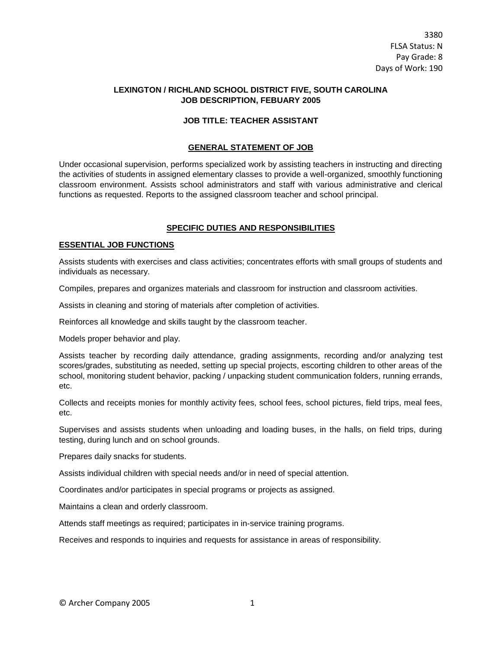# **LEXINGTON / RICHLAND SCHOOL DISTRICT FIVE, SOUTH CAROLINA JOB DESCRIPTION, FEBUARY 2005**

### **JOB TITLE: TEACHER ASSISTANT**

#### **GENERAL STATEMENT OF JOB**

Under occasional supervision, performs specialized work by assisting teachers in instructing and directing the activities of students in assigned elementary classes to provide a well-organized, smoothly functioning classroom environment. Assists school administrators and staff with various administrative and clerical functions as requested. Reports to the assigned classroom teacher and school principal.

# **SPECIFIC DUTIES AND RESPONSIBILITIES**

#### **ESSENTIAL JOB FUNCTIONS**

Assists students with exercises and class activities; concentrates efforts with small groups of students and individuals as necessary.

Compiles, prepares and organizes materials and classroom for instruction and classroom activities.

Assists in cleaning and storing of materials after completion of activities.

Reinforces all knowledge and skills taught by the classroom teacher.

Models proper behavior and play.

Assists teacher by recording daily attendance, grading assignments, recording and/or analyzing test scores/grades, substituting as needed, setting up special projects, escorting children to other areas of the school, monitoring student behavior, packing / unpacking student communication folders, running errands, etc.

Collects and receipts monies for monthly activity fees, school fees, school pictures, field trips, meal fees, etc.

Supervises and assists students when unloading and loading buses, in the halls, on field trips, during testing, during lunch and on school grounds.

Prepares daily snacks for students.

Assists individual children with special needs and/or in need of special attention.

Coordinates and/or participates in special programs or projects as assigned.

Maintains a clean and orderly classroom.

Attends staff meetings as required; participates in in-service training programs.

Receives and responds to inquiries and requests for assistance in areas of responsibility.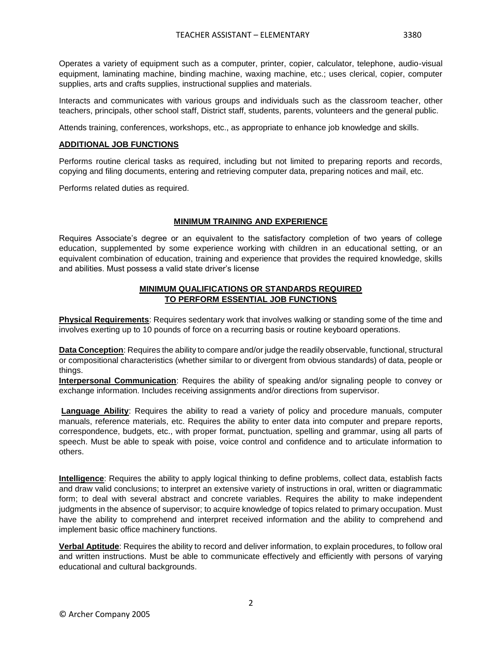Operates a variety of equipment such as a computer, printer, copier, calculator, telephone, audio-visual equipment, laminating machine, binding machine, waxing machine, etc.; uses clerical, copier, computer supplies, arts and crafts supplies, instructional supplies and materials.

Interacts and communicates with various groups and individuals such as the classroom teacher, other teachers, principals, other school staff, District staff, students, parents, volunteers and the general public.

Attends training, conferences, workshops, etc., as appropriate to enhance job knowledge and skills.

# **ADDITIONAL JOB FUNCTIONS**

Performs routine clerical tasks as required, including but not limited to preparing reports and records, copying and filing documents, entering and retrieving computer data, preparing notices and mail, etc.

Performs related duties as required.

# **MINIMUM TRAINING AND EXPERIENCE**

Requires Associate's degree or an equivalent to the satisfactory completion of two years of college education, supplemented by some experience working with children in an educational setting, or an equivalent combination of education, training and experience that provides the required knowledge, skills and abilities. Must possess a valid state driver's license

### **MINIMUM QUALIFICATIONS OR STANDARDS REQUIRED TO PERFORM ESSENTIAL JOB FUNCTIONS**

**Physical Requirements**: Requires sedentary work that involves walking or standing some of the time and involves exerting up to 10 pounds of force on a recurring basis or routine keyboard operations.

**Data Conception**: Requires the ability to compare and/or judge the readily observable, functional, structural or compositional characteristics (whether similar to or divergent from obvious standards) of data, people or things.

**Interpersonal Communication**: Requires the ability of speaking and/or signaling people to convey or exchange information. Includes receiving assignments and/or directions from supervisor.

**Language Ability**: Requires the ability to read a variety of policy and procedure manuals, computer manuals, reference materials, etc. Requires the ability to enter data into computer and prepare reports, correspondence, budgets, etc., with proper format, punctuation, spelling and grammar, using all parts of speech. Must be able to speak with poise, voice control and confidence and to articulate information to others.

**Intelligence**: Requires the ability to apply logical thinking to define problems, collect data, establish facts and draw valid conclusions; to interpret an extensive variety of instructions in oral, written or diagrammatic form; to deal with several abstract and concrete variables. Requires the ability to make independent judgments in the absence of supervisor; to acquire knowledge of topics related to primary occupation. Must have the ability to comprehend and interpret received information and the ability to comprehend and implement basic office machinery functions.

**Verbal Aptitude**: Requires the ability to record and deliver information, to explain procedures, to follow oral and written instructions. Must be able to communicate effectively and efficiently with persons of varying educational and cultural backgrounds.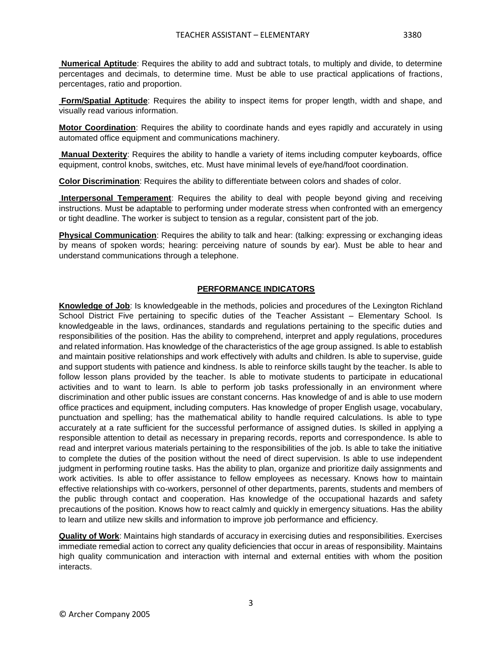**Form/Spatial Aptitude**: Requires the ability to inspect items for proper length, width and shape, and visually read various information.

**Motor Coordination**: Requires the ability to coordinate hands and eyes rapidly and accurately in using automated office equipment and communications machinery.

**Manual Dexterity**: Requires the ability to handle a variety of items including computer keyboards, office equipment, control knobs, switches, etc. Must have minimal levels of eye/hand/foot coordination.

**Color Discrimination**: Requires the ability to differentiate between colors and shades of color.

**Interpersonal Temperament**: Requires the ability to deal with people beyond giving and receiving instructions. Must be adaptable to performing under moderate stress when confronted with an emergency or tight deadline. The worker is subject to tension as a regular, consistent part of the job.

**Physical Communication**: Requires the ability to talk and hear: (talking: expressing or exchanging ideas by means of spoken words; hearing: perceiving nature of sounds by ear). Must be able to hear and understand communications through a telephone.

# **PERFORMANCE INDICATORS**

**Knowledge of Job**: Is knowledgeable in the methods, policies and procedures of the Lexington Richland School District Five pertaining to specific duties of the Teacher Assistant – Elementary School. Is knowledgeable in the laws, ordinances, standards and regulations pertaining to the specific duties and responsibilities of the position. Has the ability to comprehend, interpret and apply regulations, procedures and related information. Has knowledge of the characteristics of the age group assigned. Is able to establish and maintain positive relationships and work effectively with adults and children. Is able to supervise, guide and support students with patience and kindness. Is able to reinforce skills taught by the teacher. Is able to follow lesson plans provided by the teacher. Is able to motivate students to participate in educational activities and to want to learn. Is able to perform job tasks professionally in an environment where discrimination and other public issues are constant concerns. Has knowledge of and is able to use modern office practices and equipment, including computers. Has knowledge of proper English usage, vocabulary, punctuation and spelling; has the mathematical ability to handle required calculations. Is able to type accurately at a rate sufficient for the successful performance of assigned duties. Is skilled in applying a responsible attention to detail as necessary in preparing records, reports and correspondence. Is able to read and interpret various materials pertaining to the responsibilities of the job. Is able to take the initiative to complete the duties of the position without the need of direct supervision. Is able to use independent judgment in performing routine tasks. Has the ability to plan, organize and prioritize daily assignments and work activities. Is able to offer assistance to fellow employees as necessary. Knows how to maintain effective relationships with co-workers, personnel of other departments, parents, students and members of the public through contact and cooperation. Has knowledge of the occupational hazards and safety precautions of the position. Knows how to react calmly and quickly in emergency situations. Has the ability to learn and utilize new skills and information to improve job performance and efficiency.

**Quality of Work**: Maintains high standards of accuracy in exercising duties and responsibilities. Exercises immediate remedial action to correct any quality deficiencies that occur in areas of responsibility. Maintains high quality communication and interaction with internal and external entities with whom the position interacts.